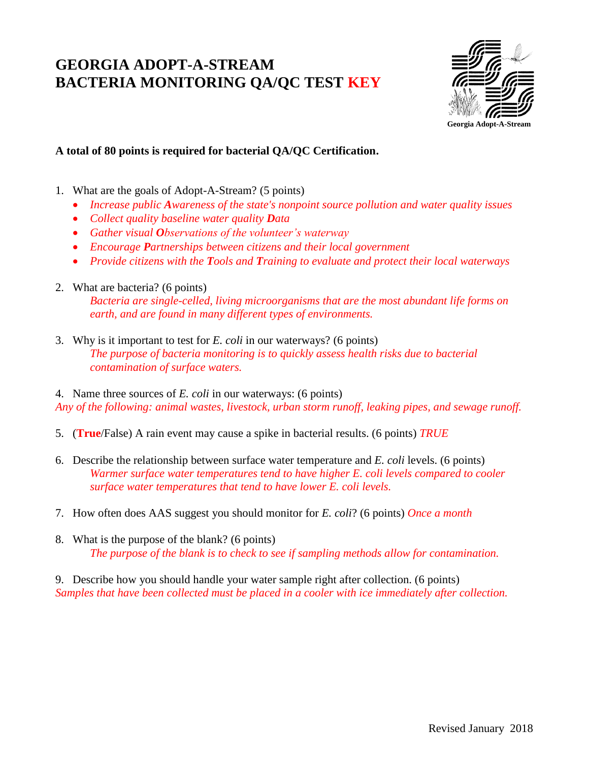## **GEORGIA ADOPT-A-STREAM BACTERIA MONITORING QA/QC TEST KEY**



**A total of 80 points is required for bacterial QA/QC Certification.**

- 1. What are the goals of Adopt-A-Stream? (5 points)
	- Increase public Awareness of the state's nonpoint source pollution and water quality issues
	- *Collect quality baseline water quality Data*
	- *Gather visual Observations of the volunteer's waterway*
	- *Encourage Partnerships between citizens and their local government*
	- *Provide citizens with the Tools and Training to evaluate and protect their local waterways*
- 2. What are bacteria? (6 points)

*Bacteria are single-celled, living microorganisms that are the most abundant life forms on earth, and are found in many different types of environments.*

3. Why is it important to test for *E. coli* in our waterways? (6 points) *The purpose of bacteria monitoring is to quickly assess health risks due to bacterial contamination of surface waters.*

4. Name three sources of *E. coli* in our waterways: (6 points) *Any of the following: animal wastes, livestock, urban storm runoff, leaking pipes, and sewage runoff.*

- 5. (**True**/False) A rain event may cause a spike in bacterial results. (6 points) *TRUE*
- 6. Describe the relationship between surface water temperature and *E. coli* levels. (6 points) *Warmer surface water temperatures tend to have higher E. coli levels compared to cooler surface water temperatures that tend to have lower E. coli levels.*
- 7. How often does AAS suggest you should monitor for *E. coli*? (6 points) *Once a month*
- 8. What is the purpose of the blank? (6 points) *The purpose of the blank is to check to see if sampling methods allow for contamination.*

9. Describe how you should handle your water sample right after collection. (6 points) *Samples that have been collected must be placed in a cooler with ice immediately after collection.*